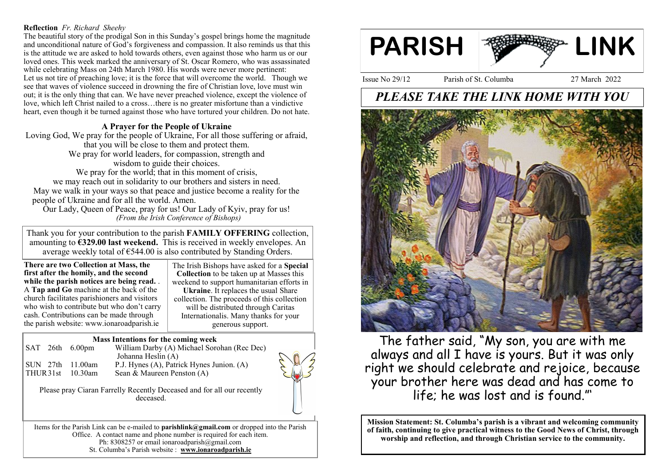### **Reflection** *Fr. Richard Sheehy*

The beautiful story of the prodigal Son in this Sunday's gospel brings home the magnitude and unconditional nature of God's forgiveness and compassion. It also reminds us that this is the attitude we are asked to hold towards others, even against those who harm us or our loved ones. This week marked the anniversary of St. Oscar Romero, who was assassinated while celebrating Mass on 24th March 1980. His words were never more pertinent: Let us not tire of preaching love; it is the force that will overcome the world. Though we see that waves of violence succeed in drowning the fire of Christian love, love must win out; it is the only thing that can. We have never preached violence, except the violence of love, which left Christ nailed to a cross…there is no greater misfortune than a vindictive heart, even though it be turned against those who have tortured your children. Do not hate.

### **A Prayer for the People of Ukraine**

Loving God, We pray for the people of Ukraine, For all those suffering or afraid, that you will be close to them and protect them. We pray for world leaders, for compassion, strength and wisdom to guide their choices. We pray for the world; that in this moment of crisis,

we may reach out in solidarity to our brothers and sisters in need. May we walk in your ways so that peace and justice become a reality for the people of Ukraine and for all the world. Amen.

Our Lady, Queen of Peace, pray for us! Our Lady of Kyiv, pray for us! *(From the Irish Conference of Bishops)*

Thank you for your contribution to the parish **FAMILY OFFERING** collection, amounting to **€329.00 last weekend.** This is received in weekly envelopes. An average weekly total of €544.00 is also contributed by Standing Orders.

**There are two Collection at Mass, the first after the homily, and the second while the parish notices are being read.** . A **Tap and Go** machine at the back of the church facilitates parishioners and visitors who wish to contribute but who don't carry cash. Contributions can be made through the parish website: www.ionaroadparish.ie

The Irish Bishops have asked for a **Special Collection** to be taken up at Masses this weekend to support humanitarian efforts in **Ukraine**. It replaces the usual Share collection. The proceeds of this collection will be distributed through Caritas Internationalis. Many thanks for your generous support.

### **Mass Intentions for the coming week**

|                  |  | $\vert$ SAT 26th 6.00pm | William Darby (A) Michael Sorohan (Rec Dec) |
|------------------|--|-------------------------|---------------------------------------------|
|                  |  |                         | Johanna Heslin (A)                          |
|                  |  | ISUN 27th 11.00am       | P.J. Hynes (A), Patrick Hynes Junion. (A)   |
| THUR31st 10.30am |  |                         | Sean & Maureen Penston $(A)$                |
|                  |  |                         |                                             |

Please pray Ciaran Farrelly Recently Deceased and for all our recently deceased.

Items for the Parish Link can be e-mailed to **parishlink@gmail.com** or dropped into the Parish Office. A contact name and phone number is required for each item. Ph: 8308257 or email ionaroadparish@gmail.com St. Columba's Parish website : **www.ionaroadparish.ie** 



Issue No 29/12 Parish of St. Columba 27 March 2022

# *PLEASE TAKE THE LINK HOME WITH YOU*



The father said, "My son, you are with me always and all I have is yours. But it was only right we should celebrate and rejoice, because your brother here was dead and has come to life; he was lost and is found."'

**Mission Statement: St. Columba's parish is a vibrant and welcoming community of faith, continuing to give practical witness to the Good News of Christ, through worship and reflection, and through Christian service to the community.**